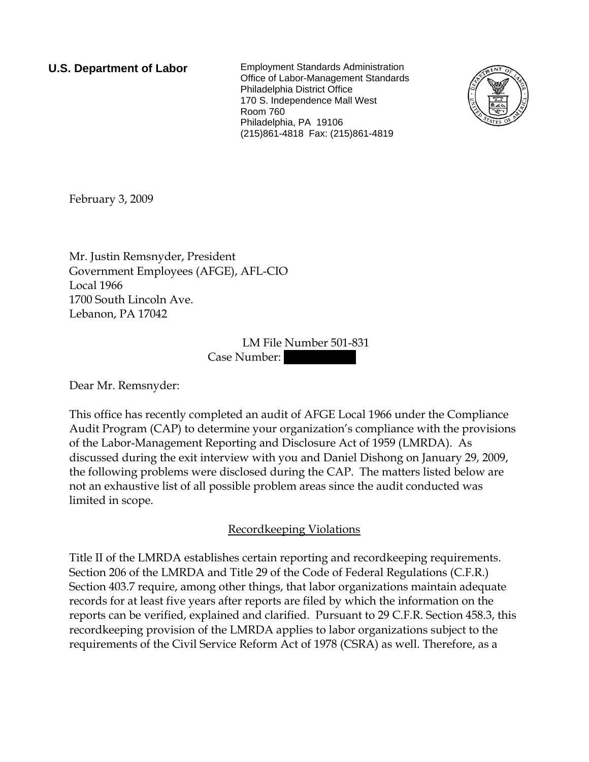**U.S. Department of Labor** Employment Standards Administration Office of Labor-Management Standards Philadelphia District Office 170 S. Independence Mall West Room 760 Philadelphia, PA 19106 (215)861-4818 Fax: (215)861-4819



February 3, 2009

Mr. Justin Remsnyder, President Government Employees (AFGE), AFL-CIO Local 1966 1700 South Lincoln Ave. Lebanon, PA 17042

> LM File Number 501-831 Case Number:

Dear Mr. Remsnyder:

This office has recently completed an audit of AFGE Local 1966 under the Compliance Audit Program (CAP) to determine your organization's compliance with the provisions of the Labor-Management Reporting and Disclosure Act of 1959 (LMRDA). As discussed during the exit interview with you and Daniel Dishong on January 29, 2009, the following problems were disclosed during the CAP. The matters listed below are not an exhaustive list of all possible problem areas since the audit conducted was limited in scope.

# Recordkeeping Violations

Title II of the LMRDA establishes certain reporting and recordkeeping requirements. Section 206 of the LMRDA and Title 29 of the Code of Federal Regulations (C.F.R.) Section 403.7 require, among other things, that labor organizations maintain adequate records for at least five years after reports are filed by which the information on the reports can be verified, explained and clarified. Pursuant to 29 C.F.R. Section 458.3, this recordkeeping provision of the LMRDA applies to labor organizations subject to the requirements of the Civil Service Reform Act of 1978 (CSRA) as well. Therefore, as a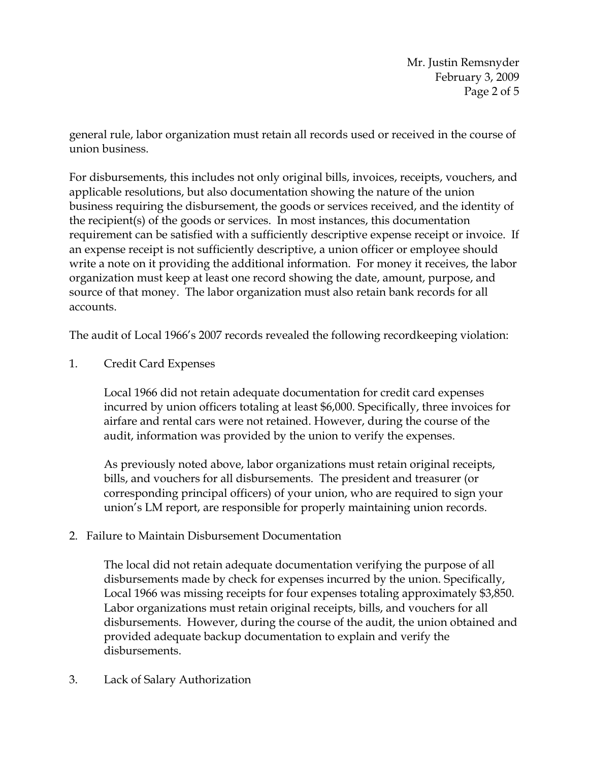Mr. Justin Remsnyder February 3, 2009 Page 2 of 5

general rule, labor organization must retain all records used or received in the course of union business.

For disbursements, this includes not only original bills, invoices, receipts, vouchers, and applicable resolutions, but also documentation showing the nature of the union business requiring the disbursement, the goods or services received, and the identity of the recipient(s) of the goods or services. In most instances, this documentation requirement can be satisfied with a sufficiently descriptive expense receipt or invoice. If an expense receipt is not sufficiently descriptive, a union officer or employee should write a note on it providing the additional information. For money it receives, the labor organization must keep at least one record showing the date, amount, purpose, and source of that money. The labor organization must also retain bank records for all accounts.

The audit of Local 1966's 2007 records revealed the following recordkeeping violation:

1. Credit Card Expenses

Local 1966 did not retain adequate documentation for credit card expenses incurred by union officers totaling at least \$6,000. Specifically, three invoices for airfare and rental cars were not retained. However, during the course of the audit, information was provided by the union to verify the expenses.

As previously noted above, labor organizations must retain original receipts, bills, and vouchers for all disbursements. The president and treasurer (or corresponding principal officers) of your union, who are required to sign your union's LM report, are responsible for properly maintaining union records.

2. Failure to Maintain Disbursement Documentation

The local did not retain adequate documentation verifying the purpose of all disbursements made by check for expenses incurred by the union. Specifically, Local 1966 was missing receipts for four expenses totaling approximately \$3,850. Labor organizations must retain original receipts, bills, and vouchers for all disbursements. However, during the course of the audit, the union obtained and provided adequate backup documentation to explain and verify the disbursements.

3. Lack of Salary Authorization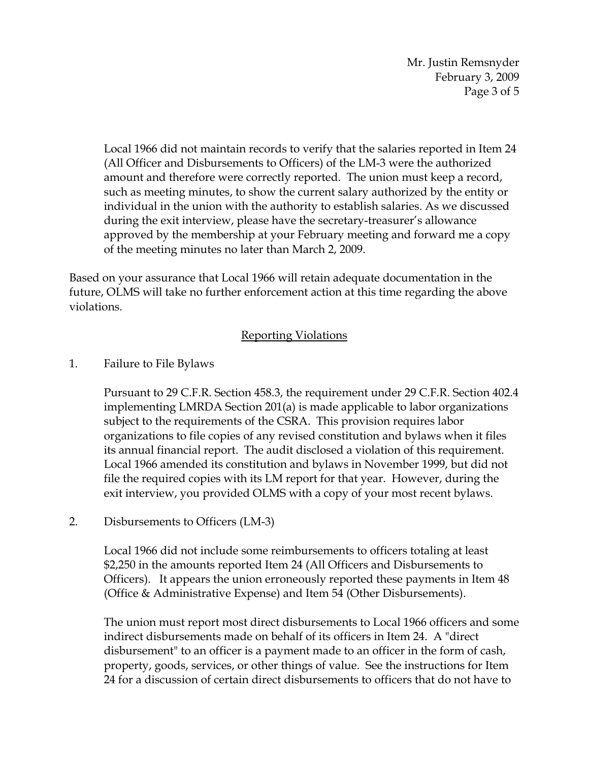Mr. Justin Remsnyder February 3, 2009 Page 3 of 5

Local 1966 did not maintain records to verify that the salaries reported in Item 24 (All Officer and Disbursements to Officers) of the LM-3 were the authorized amount and therefore were correctly reported. The union must keep a record, such as meeting minutes, to show the current salary authorized by the entity or individual in the union with the authority to establish salaries. As we discussed during the exit interview, please have the secretary-treasurer's allowance approved by the membership at your February meeting and forward me a copy of the meeting minutes no later than March 2, 2009.

Based on your assurance that Local 1966 will retain adequate documentation in the future, OLMS will take no further enforcement action at this time regarding the above violations.

# Reporting Violations

### 1. Failure to File Bylaws

Pursuant to 29 C.F.R. Section 458.3, the requirement under 29 C.F.R. Section 402.4 implementing LMRDA Section 201(a) is made applicable to labor organizations subject to the requirements of the CSRA. This provision requires labor organizations to file copies of any revised constitution and bylaws when it files its annual financial report. The audit disclosed a violation of this requirement. Local 1966 amended its constitution and bylaws in November 1999, but did not file the required copies with its LM report for that year. However, during the exit interview, you provided OLMS with a copy of your most recent bylaws.

# 2. Disbursements to Officers (LM-3)

Local 1966 did not include some reimbursements to officers totaling at least \$2,250 in the amounts reported Item 24 (All Officers and Disbursements to Officers). It appears the union erroneously reported these payments in Item 48 (Office & Administrative Expense) and Item 54 (Other Disbursements).

The union must report most direct disbursements to Local 1966 officers and some indirect disbursements made on behalf of its officers in Item 24. A "direct disbursement" to an officer is a payment made to an officer in the form of cash, property, goods, services, or other things of value. See the instructions for Item 24 for a discussion of certain direct disbursements to officers that do not have to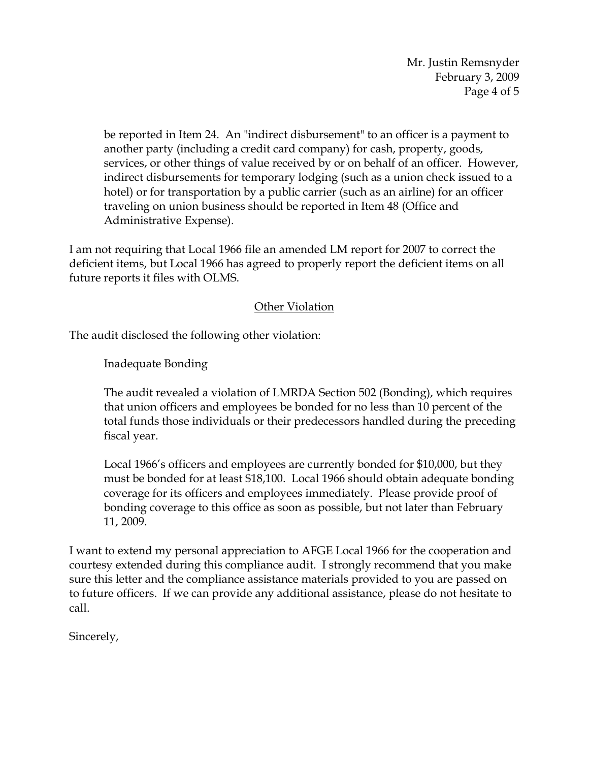Mr. Justin Remsnyder February 3, 2009 Page 4 of 5

be reported in Item 24. An "indirect disbursement" to an officer is a payment to another party (including a credit card company) for cash, property, goods, services, or other things of value received by or on behalf of an officer. However, indirect disbursements for temporary lodging (such as a union check issued to a hotel) or for transportation by a public carrier (such as an airline) for an officer traveling on union business should be reported in Item 48 (Office and Administrative Expense).

I am not requiring that Local 1966 file an amended LM report for 2007 to correct the deficient items, but Local 1966 has agreed to properly report the deficient items on all future reports it files with OLMS.

# Other Violation

The audit disclosed the following other violation:

Inadequate Bonding

The audit revealed a violation of LMRDA Section 502 (Bonding), which requires that union officers and employees be bonded for no less than 10 percent of the total funds those individuals or their predecessors handled during the preceding fiscal year.

Local 1966's officers and employees are currently bonded for \$10,000, but they must be bonded for at least \$18,100. Local 1966 should obtain adequate bonding coverage for its officers and employees immediately. Please provide proof of bonding coverage to this office as soon as possible, but not later than February 11, 2009.

I want to extend my personal appreciation to AFGE Local 1966 for the cooperation and courtesy extended during this compliance audit. I strongly recommend that you make sure this letter and the compliance assistance materials provided to you are passed on to future officers. If we can provide any additional assistance, please do not hesitate to call.

Sincerely,